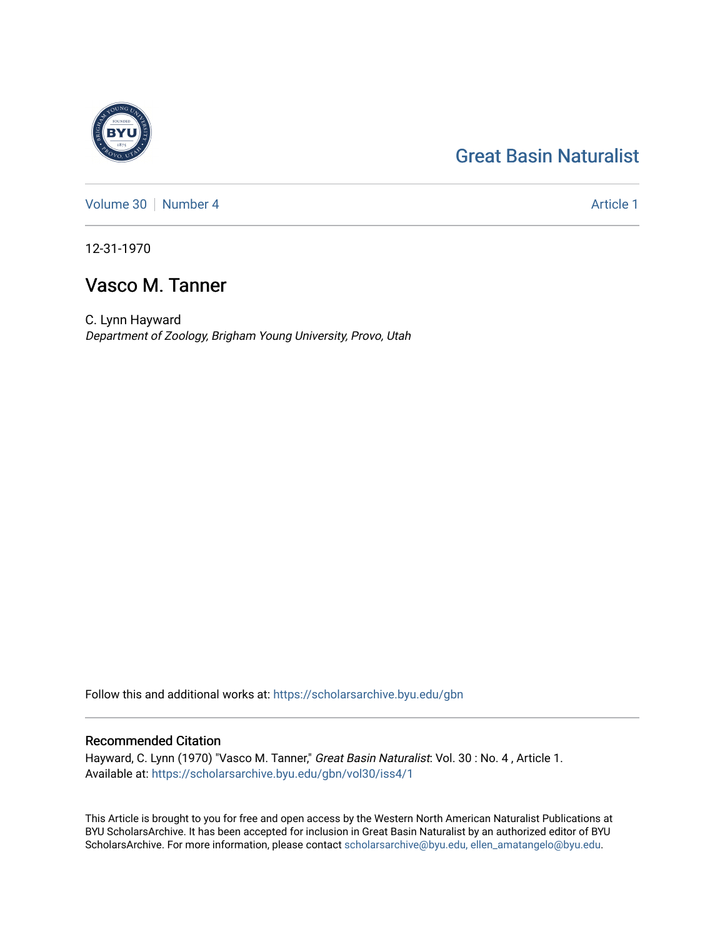# [Great Basin Naturalist](https://scholarsarchive.byu.edu/gbn)

[Volume 30](https://scholarsarchive.byu.edu/gbn/vol30) [Number 4](https://scholarsarchive.byu.edu/gbn/vol30/iss4) Article 1

12-31-1970

## Vasco M. Tanner

C. Lynn Hayward Department of Zoology, Brigham Young University, Provo, Utah

Follow this and additional works at: [https://scholarsarchive.byu.edu/gbn](https://scholarsarchive.byu.edu/gbn?utm_source=scholarsarchive.byu.edu%2Fgbn%2Fvol30%2Fiss4%2F1&utm_medium=PDF&utm_campaign=PDFCoverPages) 

#### Recommended Citation

Hayward, C. Lynn (1970) "Vasco M. Tanner," Great Basin Naturalist: Vol. 30 : No. 4, Article 1. Available at: [https://scholarsarchive.byu.edu/gbn/vol30/iss4/1](https://scholarsarchive.byu.edu/gbn/vol30/iss4/1?utm_source=scholarsarchive.byu.edu%2Fgbn%2Fvol30%2Fiss4%2F1&utm_medium=PDF&utm_campaign=PDFCoverPages)

This Article is brought to you for free and open access by the Western North American Naturalist Publications at BYU ScholarsArchive. It has been accepted for inclusion in Great Basin Naturalist by an authorized editor of BYU ScholarsArchive. For more information, please contact [scholarsarchive@byu.edu, ellen\\_amatangelo@byu.edu.](mailto:scholarsarchive@byu.edu,%20ellen_amatangelo@byu.edu)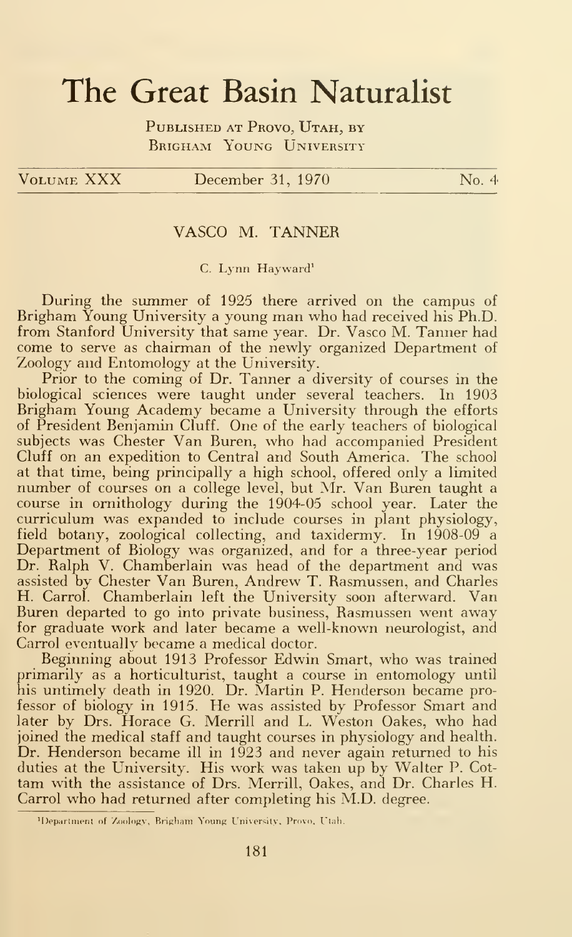# The Great Basin Naturalist

PUBLISHED AT PROVO, UTAH, BY BRIGHAM YOUNG UNIVERSITY

#### VOLUME XXX December 31, 1970 No. 4

#### VASCO M. TANNER

#### C. Lynn Hayward'

During the summer of 1925 there arrived on the campus of Brigham Young University <sup>a</sup> young man who had received his Ph.D. from Stanford University that same year. Dr. Vasco M. Tanner had come to serve as chairman of the newly organized Department of Zoology and Entomology at the University.

Prior to the coming of Dr. Tanner a diversity of courses in the biological sciences were taught under several teachers. In 1903 Brigham Young Academy became a University through the efforts of President Benjamin Cluff. One of the early teachers of biological subjects was Chester Van Buren, who had accompanied President Cluff on an expedition to Central and South America. The school at that time, being principally a high school, offered only a limited number of courses on a college level, but Mr. Van Buren taught a course in ornithology during the 1904-05 school year. Later the curriculum was expanded to include courses in plant physiology, field botany, zoological collecting, and taxidermy. In 1908-09 a Department of Biology was organized, and for a three-year period Dr. Ralph V. Chamberlain was head of the department and was assisted by Chester Van Buren, Andrew T. Rasmussen, and Charles H. Carrol. Chamberlain left the University soon afterward. Van Buren departed to go into private business, Rasmussen went away for graduate work and later became a well-known neurologist, and Carrol eventually became a medical doctor.

Beginning about 1913 Professor Edwin Smart, who was trained primarily as a horticulturist, taught a course in entomology until his untimely death in 1920. Dr. Martin P. Henderson became professor of biology in 1915. He was assisted by Professor Smart and later by Drs. Horace G. Merrill and L. Weston Oakes, who had joined the medical staff and taught courses in physiology and health. Dr. Henderson became ill in 1923 and never again returned to his duties at the University. His work was taken up by Walter P. Cot tam with the assistance of Drs. Merrill, Oakes, and Dr. Charles H. Carrol who had returned after completing his M.D. degree.

<sup>&#</sup>x27;Department of Zoology, Brigham Young University, Provo. Utah.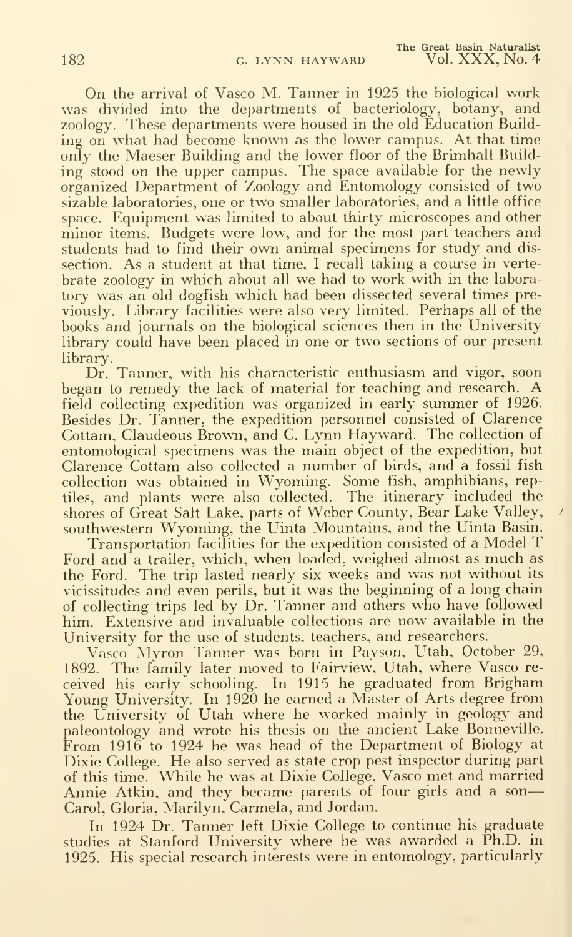On the arrival of Vasco M. Tanner in 1925 the biological work was divided into the departments of bacteriology, botany, and zoology. These departments were housed in the old Education Building on what had become known as the lower campus. At that time only the Maeser Building and the lower floor of the Brimhall Building stood on the upper campus. The space available for the newly organized Department of Zoology and Entomology consisted of two sizable laboratories, one or two smaller laboratories, and a little office space. Equipment was limited to about thirty microscopes and other minor items. Budgets were low, and for the most part teachers and students had to find their own animal specimens for study and dis section. As a student at that time, <sup>I</sup> recall taking a course in verte brate zoology in which about all we had to work with in the laboratory was an old dogfish which had been dissected several times previously. Library facilities were also very limited. Perhaps all of the books and journals on the biological sciences then in the University library could have been placed in one or two sections of our present library.

Dr. Tanner, with his characteristic enthusiasm and vigor, soon began to remedy the lack of material for teaching and research. A field collecting expedition was organized in early summer of 1926. Besides Dr. Tanner, the expedition personnel consisted of Clarence Cottam, Claudeous Brown, and C. Lynn Hayward. The collection of entomological specimens was the main object of the expedition, but Clarence Cottam also collected a number of birds, and a fossil fish collection was obtained in Wyoming. Some fish, amphibians, reptiles, and plants were also collected. The itinerary included the shores of Great Salt Lake, parts of Weber County, Bear Lake Valley, southwestern Wyoming, the Uinta Mountains, and the Uinta Basin.

Transportation facilities for the expedition consisted of <sup>a</sup> Model T Ford and <sup>a</sup> trailer, which, when loaded, weighed almost as much as the Ford. The trip lasted nearly six weeks and was not without its vicissitudes and even perils, but it was the beginning of a long chain of collecting trips led by Dr. Tanner and others who have followed him. Extensive and invaluable collections are now available in the University for the use of students, teachers, and researchers.

Vasco Myron Tanner was born in Payson. L^tah, October 29, 1892. The family later moved to Fairview, Utah, where Vasco re ceived his early schooling. In 1915 he graduated from Brigham Young University. In 1920 he earned a Master of Arts degree from the University of Utah where he worked mainly in geology and paleontology and wrote his thesis on the ancient Lake Bonneville. From 1916 to 1924 he was head of the Department of Biology at Dixie College. He also served as state crop pest inspector during part of this time. While he was at Dixie College, Vasco met and married Annie Atkin, and they became parents of four girls and a son Carol, Gloria, Marilyn, Carmela, and Jordan.

In 1924 Dr. Tanner left Dixie College to continue his graduate studies at Stanford University where he was awarded a Ph.D. in 1925. His special research interests were in entomology, particularly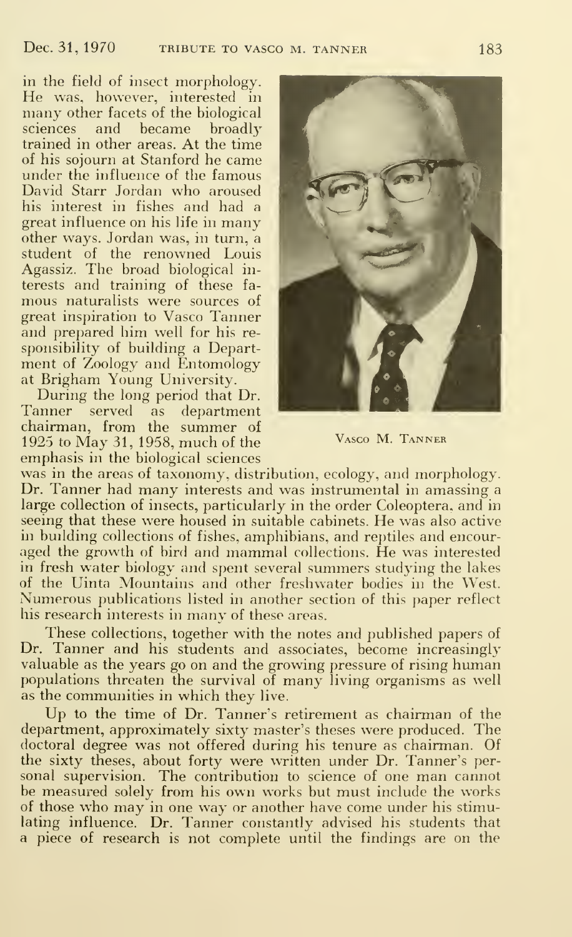in the field of insect morphology. He was, however, interested in many other facets of the biological sciences and became broadly trained in other areas. At the time of his sojourn at Stanford he came under the influence of the famous David Starr Jordan who aroused his interest in fishes and had a great influence on his life in many other ways. Jordan was, in turn, a student of the renowned Louis Agassiz. The broad biological in terests and training of these fa mous naturalists were sources of great inspiration to Vasco Tanner and prepared him well for his re sponsibility of building a Department of Zoology and Entomology at Brigham Young University.

During the long period that Dr. Tanner served as department chairman, from the summer of 1925 to May 31, 1958, much of the emphasis in the biological sciences



Vasco M. Tanner

was in the areas of taxonomy, distribution, ecology, and morphology. Dr. Tanner had many interests and was instrumental in amassing <sup>a</sup> large collection of insects, particularly in the order Coleoptera. and in seeing that these were housed in suitable cabinets. He was also active in building collections of fishes, amphibians, and reptiles and encour aged the growth of bird and mammal collections. He was interested in fresh water biology and spent several summers studying the lakes of the Uinta Mountains and other freshwater bodies in the West. Numerous publications listed in another section of this paper reflect his research interests in many of these areas.

These collections, together with the notes and published papers of Dr. Tanner and his students and associates, become increasingly valuable as the years go on and the growing pressure of rising human populations threaten the survival of many living organisms as well as the communities in which they live.

Up to the time of Dr. Tanner's retirement as chairman of the department, approximately sixty master's theses were produced. The doctoral degree was not offered during his tenure as chairman. Of the sixty theses, about forty were written under Dr. Tanner's per sonal supervision. The contribution to science of one man cannot be measured solely from his own works but must include the works of those who may in one way or another have come under his stimulating influence. Dr. Tanner constantly advised his students that a piece of research is not complete until the findings are on the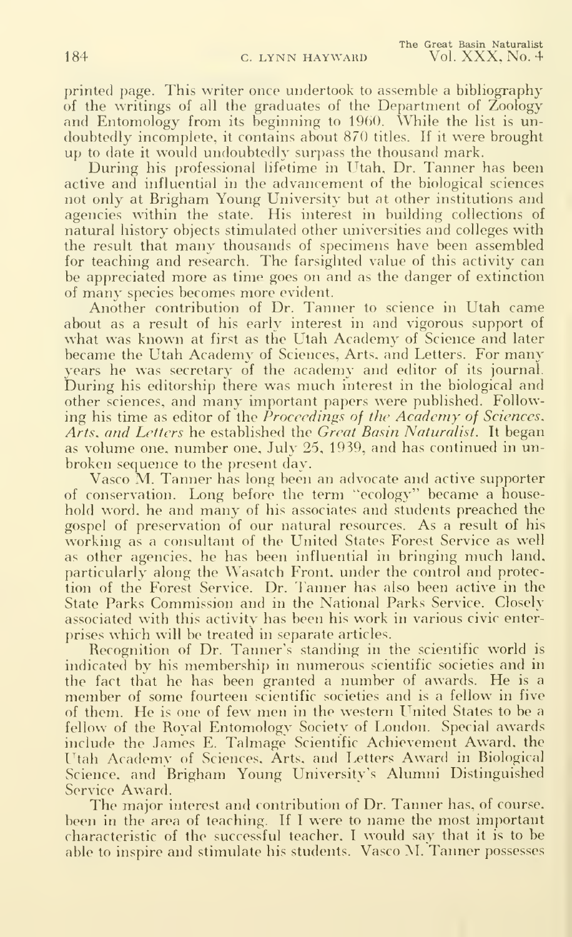printed page. This writer once undertook to assemble a bibliography of the writings of all the graduates of the Department of Zoology and Entomology from its beginning to 1960. While the list is undoubtedly incomplete, it contains about 870 titles. If it were brought up to date it would undoubtedly surpass the thousand mark.

During his professional lifetime in Utah, Dr. Tanner has been active and influential in the advancement of the biological sciences not only at Brigham Young University but at other institutions and agencies within the state. His interest in building collections of natural history objects stimulated other universities and colleges with the result that many thousands of specimens have been assembled for teaching and research. The farsighted value of this activity can be appreciated more as time goes on and as the danger of extinction of many species becomes more evident.

Another contribution of Dr. Tanner to science in Utah came about as a result of his early interest in and vigorous support of what was known at first as the Utah Academy of Science and later became the Utah Academy of Sciences, Arts, and Letters. For many years he was secretary of the academy and editor of its journal During his editorship there was much interest in the biological and other sciences, and many important papers were published. Following his time as editor of the Proceedings of the Academy of Sciences. Arts, and Letters he established the Great Basin Naturalist. It began as volume one, number one, July 25, 1939, and has continued in un broken sequence to the present day.

Vasco M. Tanner has long been an advocate and active supporter of conservation. Long before the term "ecology" became a household word, he and many of his associates and students preached the gospel of preservation of our natural resources. As a result of his working as a consultant of the United States Forest Service as well as other agencies, he has been influential in bringing much land, particularly along the Wasatch Front, under the control and protection of the Forest Service. Dr. Fanner has also been active in the State Parks Commission and in the National Parks Service. Closely associated with this activity has been his work in various civic enterprises which will be treated in separate articles.

Recognition of Dr. Tanner's standing in the scientific world is indicated by his membership in numerous scientific societies and in the fact that he has been granted <sup>a</sup> number of awards. He is <sup>a</sup> member of some fourteen scientific societies and is <sup>a</sup> fellow in five of them. He is one of few men in the western LTnited States to be <sup>a</sup> fellow of the Royal Entomology Society of London. Special awards include the James E. Talmage Scientific Achievement Award, the Utah Academy of Sciences. Arts, and Letters Award in Biological Science, and Brigham Young University's Alumni Distinguished Service Award.

The major interest and contribution of Dr. Tanner has, of course, been in the area of teaching. If <sup>I</sup> were to name the most important characteristic of the successful teacher, <sup>I</sup> would say that it is to be able to inspire and stimulate his students. Vasco M. Tanner possesses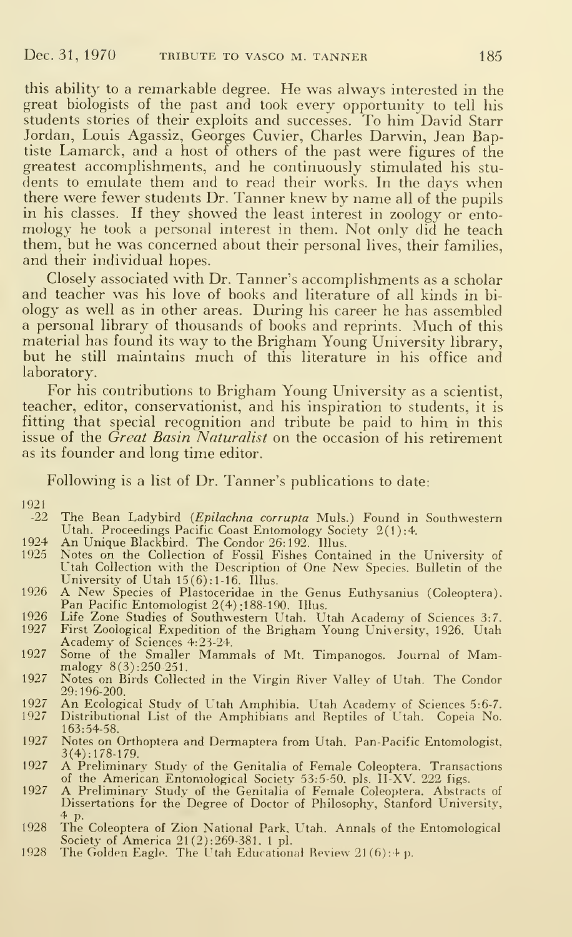this ability to <sup>a</sup> remarkable degree. He was always interested in the great biologists of the past and took every opportunity to tell his students stories of their exploits and successes. To him David Starr Jordan, Louis Agassiz, Georges Cuvier, Charles Darwin, Jean Baptiste Lamarck, and a host of others of the past were figures of the greatest accomplishments, and he continuously stimulated his stu dents to emulate them and to read their works. In the days when there were fewer students Dr. Tanner knew by name all of the pupils in his classes. If they showed the least interest in zoology or ento mology he took <sup>a</sup> personal interest in them. Not only did he teach them, but he was concerned about their personal lives, their families, and their individual hopes.

Closely associated with Dr. Tanner's accomplishments as a scholar and teacher was his love of books and literature of all kinds in bi ology as well as in other areas. During his career he has assembled <sup>a</sup> personal library of thousands of books and reprints. Much of this material has found its way to the Brigham Young University library, but he still maintains much of this literature in his office and laboratory.

For his contributions to Brigham Young University as a scientist, teacher, editor, conservationist, and his inspiration to students, it is fitting that special recognition and tribute be paid to him in this issue of the *Great Basin Naturalist* on the occasion of his retirement as its founder and long time editor.

Following is a list of Dr. Tanner's publications to date:

### 1921

- The Bean Ladybird (Epilachna corrupta Muls.) Found in Southwestern Utah. Proceedings Pacific Coast Entomology Society 2(1):4.
- 
- 1924 An Unique Blackbird. The Condor 26:192. Illus. 1925 Notes on the Collection of Fossil Fishes Contained in the University of Utah Collection with the Description of One New Species. Bulletin of the
- University of Utah 15(6):1-16. Illus.<br>1926 A New Species of Plastoceridae in the Genus Euthysanius (Coleoptera).<br>Pan Pacific Entomologist 2(4):188-190. Illus.<br>1926 Life Zone Studies of Southwestern Utah. Utah Academy of Sc
- 
- 
- Academy of Sciences 4:23-24.<br>
1927 Some of the Smaller Mammals of Mt. Timpanogos. Journal of Mam-<br>
malogy 8(3):250-251.
- 1927 Notes on Birds Collected in the Virgin River Vallev of Utah. The Condor 29:196-200.
- 1927 An Ecological Study of Utah Amphibia. Utah Academy of Sciences 5:6-7.<br>1927 Distributional List of the Amphibians and Reptiles of Utah. Copeia No.
- Distributional List of the Amphibians and Reptiles of Utah. Copeia No. 163:54-58.
- 1927 Notes on Orthoptera and Dermaptera from Utah. Pan-Pacific Entomologist. 3(4):178-179.
- <sup>1927</sup> A Preliminary Study of the Genitalia of Female Coleoptera. Transactions
- of the American Entomological Society 53:5-50. pis. II-XV. 222 figs. <sup>1927</sup> A Preliminary Study of the Genitalia of Female Coleoptera. Abstracts of Dissertations for the Degree of Doctor of Philosophy, Stanford University, 4 p.
- 1928 The Coleoptera of Zion National Park. Utah. Annals of the Entomological
- Society of America 21 (2):269-381. <sup>1</sup> pi. 1928 The Golden Eagle. The Utah Educational Review <sup>21</sup> (6): 4 ji.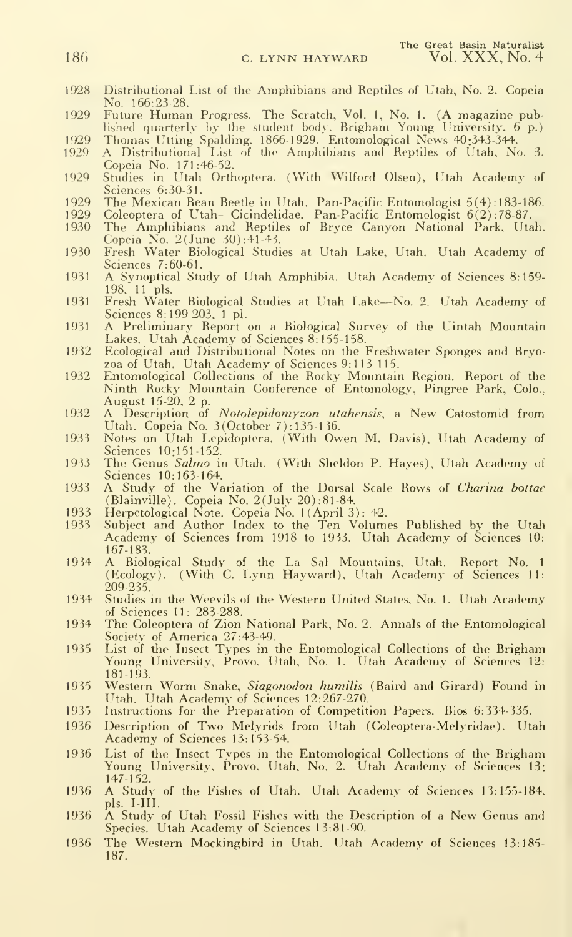- 1928 Distributional List of the Amphibians and Reptiles of Utah, No. 2. Copeia No. 166:25-28.
- 1929 Future Human Progress. The Scratch, Vol. 1, No. 1. (A magazine pub-lished fiuarterlv by the student bodv. Brighani Young University. 6 p.)
- 1929 Thomas Utting Spalding. 1866-1929. Entomological News 40:343-344. 1929 A Distributional List of tbe Amphibians and Reptiles of Utah, No. 3. Copeia No. 171:46-52.
- 1929 Studies in Utah Orthoptera. (With Wilford Olsen), Utah Academy of Sciences 6:30-31.
- 
- 1929 The Mexican Bean Beetle in Utah. Pan-Pacific Entomologist 5(4): 183-186.<br>1929 Coleoptera of Utah—Cicindelidae. Pan-Pacific Entomologist 6(2): 78-87.<br>1930 The Amphibians and Reptiles of Bryce Canyon National Par
- Copeia No. 2(June 30):41-41
- 1930 Fresh Water Biological Studies at Utah Lake, Utah. Utah Academy of Sciences 7:60-61.
- <sup>1931</sup> A Synoptical Study of Utah Amphibia. Utah Academy of Sciences 8:159- 198. 11 pis.
- <sup>1931</sup> Fresh Water Biological Studies at Utah Lake—No. 2. Utah Academy of Sciences 8:199-203. <sup>1</sup> pi.
- 1931 A Preliminary Report on a Biological Survey of the Uintah Mountain Lakes. Utah Academy of Sciences 8:155-158.
- 1932 Ecological and Distributional Notes on the Freshwater Sponges and Bryozoa of L'tah. Utah Academy of Sciences 9: <sup>1</sup> 13-1 15.
- 1932 Entomological Collections of the Rocky Mountain Region. Report of the Ninth Rocky Mountain Conference of Entomology, Pingree Park, Colo.. August 15-20. 2 p.
- 1932 A Description of Notolepidomyzon utahensis, a New Catostomid from Utah. Copeia No. 3(October 7): 135-1 36.
- 1933 Notes on Utah Lepidoptera. (With Owen M. Davis), Utah Academy of Sciences 10:151-152.
- 1933 The Genus Salmo in Utah. (With Sheldon P. Hayes), Utah Academy of Sciences 10:163-164,
- 1933 A Study of the Variation of the Dorsal Scale Rows of Charina bottae (Blainville). Copeia No. 2(July 20):81-84.
- 
- 1933 Herpetological Note. Copeia No. <sup>1</sup> (April 3): 42. 1933 Subject and Author Index to the Ten Volumes Published by the Utah Academy of Sciences from 1918 to 1933. Utah Academy of Sciences 10: 167-183.'
- <sup>1934</sup> A Biological Study of the La Sal Mountains, Utah. Report No. <sup>1</sup> (Ecology). (With C. Lynn Hayward), Utah Academy of Sciences 11: 209-235.'
- 1934 Studies in the Weevils of the Western United States. No. 1. Utah Academy of Sciences 11: 283-288.
- 1934 The Coleoptera of Zion National Park, No. 2. Annals of the Entomological Society of America 27:43-49. 1935 List of the Insect Types in the Entomological Collections of the Brigham
- Young University, Provo. Utah, No. 1. Utah Academy of Sciences 12: 181-193.
- 1935 Western Worm Snake, Siagonodon humilis (Baird and Girard) Found in Utah. Utah Academy of Sciences 12:267-270.
- 1935 Instructions for the Preparation of Competition Papers. Bios 6:334-335.
- 1936 Description of Two Melyrids from LItah (Coleoptera-Melyridae). Utah Academy of Sciences 13:153-54.
- 1936 List of the Insect Types in the Entomological Collections of the Brigham Young University, Provo. Utah. No. 2. Utah Academy of Sciences 13: 147-152.
- <sup>1936</sup> A Study of the Fishes of Utah. Utah Academy of Sciences 13:155-184. pls. I-III.
- <sup>1936</sup> A Study of Utah Fossil Fishes with the Description of <sup>a</sup> New Genus and Species. Utah Academy of Sciences 13:81-90.
- 1936 The Western Mockingbird in Utah. Utah Academy of Sciences 13:185- 187.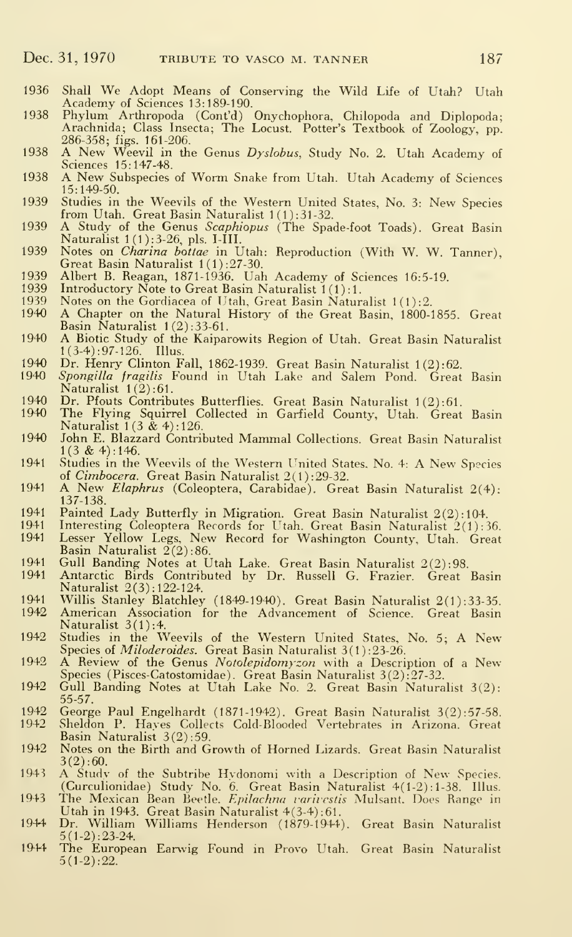- <sup>1936</sup> Shall We Adopt Means of Conserving the Wild Life of Utah? Utah Academy of Sciences 13:189-190.
- 1938 Phylum Arthropoda (Cont'd) Onychophora, Chilopoda and Diplopoda;<br>Arachnida; Class Insecta; The Locust. Potter's Textbook of Zoology, pp. Arachnida; Class Insecta; The Locust. Potter's Textbook of Zoology, pp. 286-358; figs. 161-206.
- 1938 A New Weevil in the Genus Dyslobus, Study No. 2. Utah Academy of Sciences 15:147-48.
- <sup>1938</sup> A New Subspecies of Worm Snake from Utah. Utah Academy of Sciences 15:149-50.
- 1939 Studies in the Weevils of the Western United States, No. 3: New Species from Utah. Great Basin Naturalist  $1(1):31-32$ .
- 1939 A Study of the Genus *Scaphiopus* (The Spade-foot Toads). Great Basin Naturalist l(l):3-26, pis. I-III.
- 1939 Notes on *Charina bottae* in Utah: Reproduction (With W. W. Tanner), Great Basin Naturalist 1(1):27-30.
- 1939 Albert B. Reagan, 1871-1936. Uah Academy of Sciences 16:5-19.<br>1939 Introductory Note to Great Basin Naturalist 1(1):1.
- 1939 Introductory Note to Great Basin Naturalist 1(1):1.
- 1939 Notes on the Gordiacea of Utah, Great Basin Naturalist 1(1):2.<br>1940 A Chapter on the Natural History of the Great Basin 1800-1
- A Chapter on the Natural History of the Great Basin, 1800-1855. Great Basin Naturalist 1(2): 33-61.
- <sup>1940</sup> A Biotic Study of the Kaiparowits Region of Utah. Great Basin Naturalist  $1(3-4): 97-126$ . Illus.
- 
- 1940 Dr. Henry Clinton Fall, 1862-1939. Great Basin Naturalist 1(2):62.<br>1940 *Spongilla fragilis* Found in Utah Lake and Salem Pond. Great Basin Naturalist  $1(2):61$ .
- 1940 Dr. Pfouts Contributes Butterflies. Great Basin Naturalist 1(2):61.<br>1940 The Flying Squirrel Collected in Garfield County, Utah. Great
- The Flying Squirrel Collected in Garfield County, Utah. Great Basin Naturalist  $1(3 \& 4):126$ .
- 1940 John E. Blazzard Contributed Mammal Collections. Great Basin Naturalist  $1(3 \& 4): 146.$
- 1941 Studies in the Weevils of the Western United States. No. 4: A New Species of Cimbocera. Great Basin Naturalist 2(1):29-32.
- 1941 A New *Elaphrus* (Coleoptera, Carabidae). Great Basin Naturalist 2(4):
- 
- 
- 137-138.<br>1941 Painted Lady Butterfly in Migration. Great Basin Naturalist 2(2):104.<br>1941 Interesting Coleoptera Records for Utah. Great Basin Naturalist 2(1):36.<br>1941 Iesser Yellow Legs, New Record for Washington County, U
- 
- 1941 Antarctic Birds Contributed by Dr. Russell G. Frazier. Great Basin Naturalist 2(3) : 122-124.
- 1941 Willis Stanley Blatchley (1849-1940). Great Basin Naturalist 2(1):33-35.<br>1942 American Association for the Advancement of Science. Great Basin
- 1942 American Association for the Advancement of Science. Great Basin Naturalist 3(1 ):4.
- 1942 Studies in the Weevils of the Western United States, No. 5; A New-Species of *Miloderoides*. Great Basin Naturalist 3(1):23-26.
- 1942 A Review of the Genus Notolepidomyzon with a Description of a New Species (Pisces-Catostomidae). Great Basin Naturalist 3(2) :27-32. 1942 Gull Banding Notes at Utah Lake No. 2. Great Basin Naturalist 3(2):
- 55-57.
- 1942 George Paul Engelhardt (1871-1942). Great Basin Naturalist 3(2):57-58.
- Sheldon P. Hayes Collects Cold-Blooded Vertebrates in Arizona. Great Basin Naturalist 3(2): 59.
- 1942 Notes on the Birth and Growth of Horned Lizards. Great Basin Naturalist  $3(2):60$ .
- 3(2):**60.**<br>1943 A Study of the Subtribe Hydonomi with a Description of New Species.<br>(Curculionidae) Study No. 6. Great Basin Naturalist 4(1-2):1-38. Illus.<br>1943 The Mexican Bean Beetle. *Epilachna varivestis* Mulsant. Does
- Utah in 1943. Great Basin Naturalist 4(3-4): 61.
- 1944 Dr. William Williams Henderson (1879-1944). Great Basin Naturalist 5(1-2) :23-24.
- 1944 The European Earwig Found in Provo Utah. Great Basin Naturalist  $5(1-2):22.$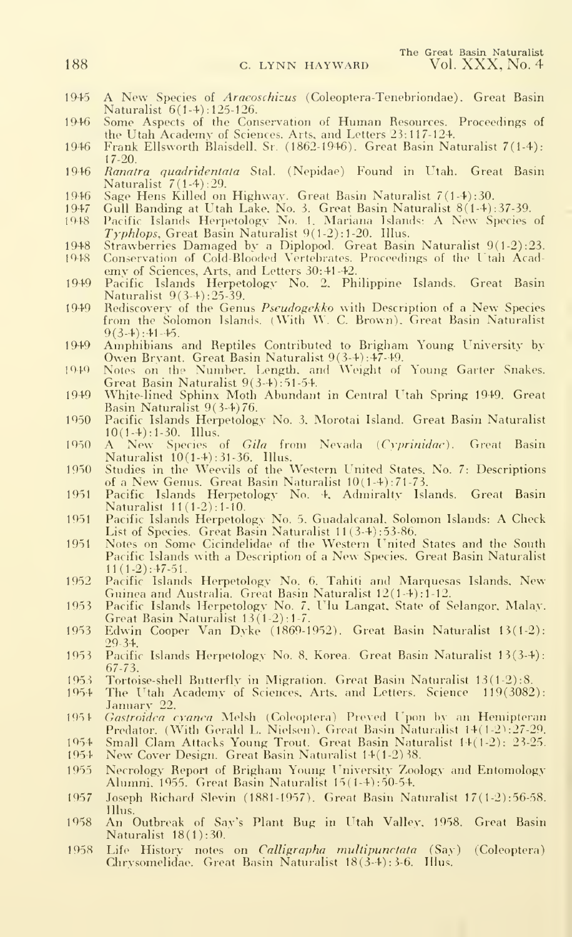- 1945 A New Species of *Araeoschizus* (Coleoptera-Tenebriondae). Great Basin Naturalist 6(1-4) : 125-126.
- 1946 Some Aspects of the Conservation of Human Resources. Proceedings of the Utah Academy of Sciences. Arts, and Letters 23:117-124.
- 1946 Frank Ellsworth Blaisdell. Sr. (1862-1946). Great Basm Naturalist 7(1-4): 17-20.
- 1946 Ranatra quadridentata Stal. (Nepidae) Found in Utah. Great Basin Naturalist 7(1-4) :29.
- 1946 Sage Hens Killed on Highway. Great Basin Naturalist 7(1-4):30.<br>1947 Gull Banding at Utah Lake. No. 3. Great Basin Naturalist 8(1-4):
- 1947 Gull Banding at Utah Lake, No. 3. Great Basin Naturalist 8(1-4):37-39.<br>1948 Pacific Islands Herpetology No. 1. Mariana Islands: A New Species of
- Typhlops, Great Basin Naturalist 9(1-2): 1-20. Illus.
- 1948 Strawberries Damaged by <sup>a</sup> Diplopod. Great Basin Naturalist 9(l-2):23. Conservation of Cold-Blooded Vertebrates. Proceedings of the Utah Acad-
- emy of Sciences, Arts, and Letters 30:41-42.
- 1949 Pacific Islands Herpetologv No. 2. Philippine Islands. Great Basin Naturalist 9(3-4) :25-39.
- 1949 Rediscovery of the Genus Pseudogekko with Description of <sup>a</sup> New Species from the Solomon Islands. (With W. C. Brown). Great Basin Naturalist  $9(3-4): 41-45.$
- 1949 Amphibians and Reptiles Contributed to Brigham Young University by Owen Bryant. Great Basin Naturalist 9(3-4) :47-49.
- 1949 Notes on the Number. Length, and Weight of Young Garter Snakes. Great Basin Naturalist 9(3-4) :51-54.
- 1949 White-lined Sphinx Moth Abundant in Central I'tah Spring 1949. Great Basin Naturalist 9(3-4)76.
- 1950 Pacific Islands Herpetologv No. 3. Morotai Island. Great Basin Naturalist  $10(1-4):1-30.$  Illus.
- 1950 A New Species of Gila from Nevada (Cyprinidae). Great Basin
- Naturalist 10(1-4) :31-36. Illus. 1950 Studies in the Weevils of the Western United States. No. 7: Descriptions of <sup>a</sup> New Genus. Great Basin Naturalist 10(1-4) :71-73.
- 1951 Pacific Islands Herpetology No. 4, Admiralty Islands. Great Basin Naturalist 11(1-2):1-10.
- 1951 Pacific Islands Herpetology No. 5. Guadalcanal, Solomon Islands: A Check<br>- List of Species. Great Basin Naturalist 11(3-4):53-86.<br>1951 Notes on Some Cicindelidae of the Western United States and the South
- Pacific Islands with <sup>a</sup> Description of <sup>a</sup> New Species. Great Basin Naturalist  $11(1-2): 47-51.$
- 1952 Pacific Islands Herpetology No. 6. Tahiti and Marquesas Islands. New Guinea and Australia. Great Basin Naturalist 12(1-4) : 1-12. 1953 Pacific Islands Herpetology No. 7, I'lu Langat. State of Selangor, Malay.
- Great Basin Naturalist 13(1 -2): 1-7.
- 1953 Edwin Cooper Van Dvke (1869-1952). Great Basin Naturalist 13(1-2): 29-34.
- 1953 Pacific Islands Herpetology No. 8, Korea. Great Basin Naturalist 13(3-4): 67-73.
- 1953 Tortoise-shell Butterfly in Migration. Great Basin Naturalist 13(1-2):8.<br>1954 The Utah Academy of Sciences, Arts. and Letters. Science 119(3082
- The Utah Academy of Sciences, Arts, and Letters. Science 119(3082): January 22.
- 1954 Gastroidea cvanca Melsh (Coleoptera) Preyed Upon by an Hemipteran Predator. (With Gerald L. Nielsen). Great Basin Naturalist 14(1-2):27-29.
- 1954 Small Clam Attacks Young Trout. "Great Basin Naturalist 14(1-2): 23-25. 1954 New Cover Design. Great Basin Naturalist 14(1-2)38. 1954 New Cover Design. Great Basin Naturalist 14(1-2)38.
- 
- 1955 Necrology Report of Brigham Young University Zoology' and Entomology Alumni. 1955. Great Basin Naturalist 15( 1-4) :50-54.
- 1957 Joseph Richard Slevin (1881-1957). Great Basin Naturalist 17(1-2):56-58. Illus.
- 1958 An Outbreak of Say's Plant Bug in ITtah Valley. 1958. Great Basin Naturalist 18(1): 30.
- 1958 Life History notes on *Calligrapha multipunctata* (Say) (Coleoptera) Chrvsomelidae. Great Basin Naturalist 18(3-4); 3-6. Illus.